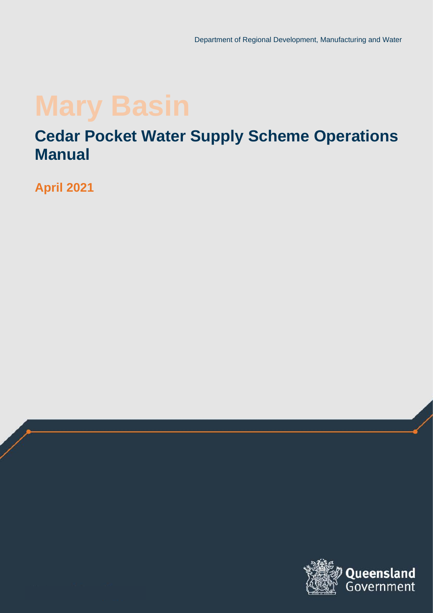### **Cedar Pocket Water Supply Scheme Operations Manual**

**April 2021**

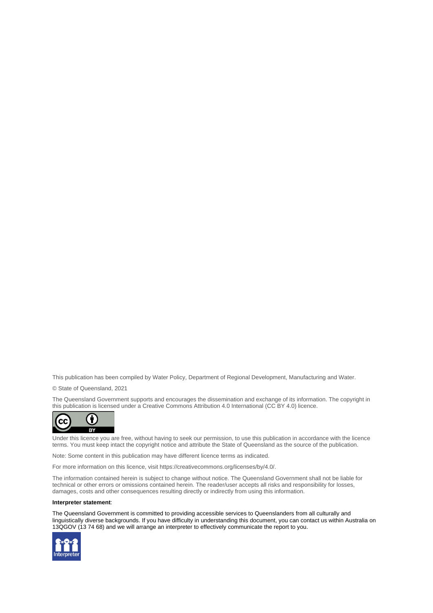This publication has been compiled by Water Policy, Department of Regional Development, Manufacturing and Water.

© State of Queensland, 2021

The Queensland Government supports and encourages the dissemination and exchange of its information. The copyright in this publication is licensed under a Creative Commons Attribution 4.0 International (CC BY 4.0) licence.



Under this licence you are free, without having to seek our permission, to use this publication in accordance with the licence terms. You must keep intact the copyright notice and attribute the State of Queensland as the source of the publication.

Note: Some content in this publication may have different licence terms as indicated.

For more information on this licence, visit https://creativecommons.org/licenses/by/4.0/.

The information contained herein is subject to change without notice. The Queensland Government shall not be liable for technical or other errors or omissions contained herein. The reader/user accepts all risks and responsibility for losses, damages, costs and other consequences resulting directly or indirectly from using this information.

#### **Interpreter statement**:

The Queensland Government is committed to providing accessible services to Queenslanders from all culturally and linguistically diverse backgrounds. If you have difficulty in understanding this document, you can contact us within Australia on 13QGOV (13 74 68) and we will arrange an interpreter to effectively communicate the report to you.

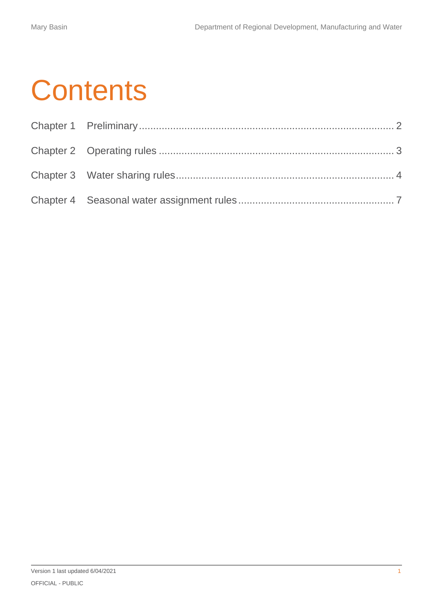# **Contents**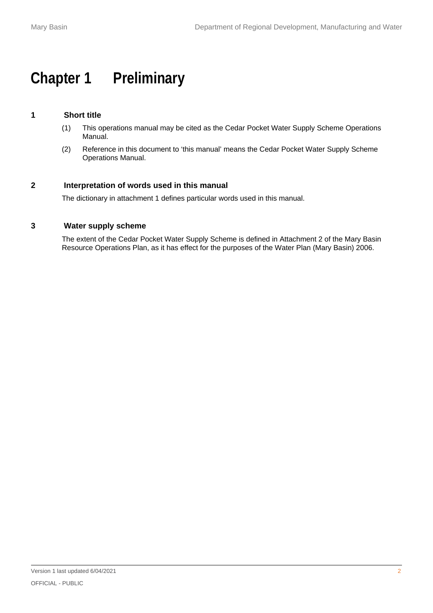### <span id="page-3-0"></span>**Chapter 1 Preliminary**

### **1 Short title**

- (1) This operations manual may be cited as the Cedar Pocket Water Supply Scheme Operations Manual.
- (2) Reference in this document to 'this manual' means the Cedar Pocket Water Supply Scheme Operations Manual.

#### **2 Interpretation of words used in this manual**

The dictionary in attachment 1 defines particular words used in this manual.

#### **3 Water supply scheme**

The extent of the Cedar Pocket Water Supply Scheme is defined in Attachment 2 of the Mary Basin Resource Operations Plan, as it has effect for the purposes of the Water Plan (Mary Basin) 2006.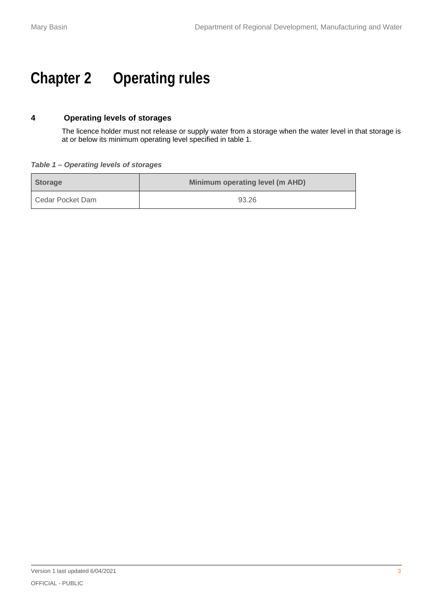## <span id="page-4-0"></span>**Chapter 2 Operating rules**

### **4 Operating levels of storages**

The licence holder must not release or supply water from a storage when the water level in that storage is at or below its minimum operating level specified in table 1.

#### *Table 1 – Operating levels of storages*

| <b>Storage</b>   | Minimum operating level (m AHD) |
|------------------|---------------------------------|
| Cedar Pocket Dam | 93.26                           |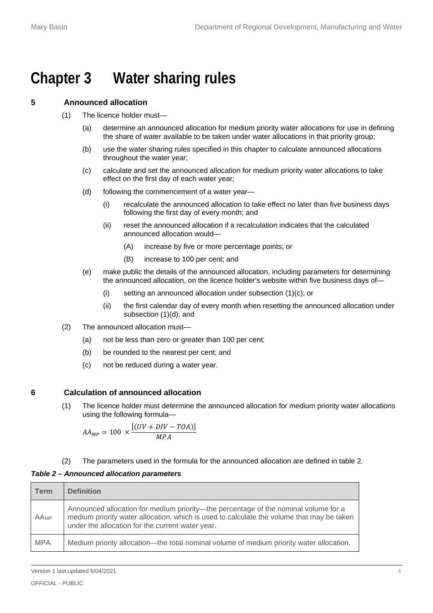### <span id="page-5-0"></span>**Chapter 3 Water sharing rules**

#### **5 Announced allocation**

- (1) The licence holder must—
	- (a) determine an announced allocation for medium priority water allocations for use in defining the share of water available to be taken under water allocations in that priority group;
	- (b) use the water sharing rules specified in this chapter to calculate announced allocations throughout the water year;
	- (c) calculate and set the announced allocation for medium priority water allocations to take effect on the first day of each water year;
	- (d) following the commencement of a water year—
		- (i) recalculate the announced allocation to take effect no later than five business days following the first day of every month; and
		- (ii) reset the announced allocation if a recalculation indicates that the calculated announced allocation would—
			- (A) increase by five or more percentage points; or
			- (B) increase to 100 per cent; and
	- (e) make public the details of the announced allocation, including parameters for determining the announced allocation, on the licence holder's website within five business days of—
		- (i) setting an announced allocation under subsection (1)(c); or
		- (ii) the first calendar day of every month when resetting the announced allocation under subsection (1)(d); and
- (2) The announced allocation must—
	- (a) not be less than zero or greater than 100 per cent;
	- (b) be rounded to the nearest per cent; and
	- (c) not be reduced during a water year.

#### **6 Calculation of announced allocation**

(1) The licence holder must determine the announced allocation for medium priority water allocations using the following formula—

 $AA_{MP} = 100 \times$  $[(UV + DIV - TOA)]$ <sub>MP</sub>

(2) The parameters used in the formula for the announced allocation are defined in table 2.

#### *Table 2 – Announced allocation parameters*

| <b>Term</b> | <b>Definition</b>                                                                                                                                                                                                                    |
|-------------|--------------------------------------------------------------------------------------------------------------------------------------------------------------------------------------------------------------------------------------|
| AAMP        | Announced allocation for medium priority—the percentage of the nominal volume for a<br>medium priority water allocation, which is used to calculate the volume that may be taken<br>under the allocation for the current water year. |
| <b>MPA</b>  | Medium priority allocation—the total nominal volume of medium priority water allocation.                                                                                                                                             |

Version 1 last updated 6/04/2021 4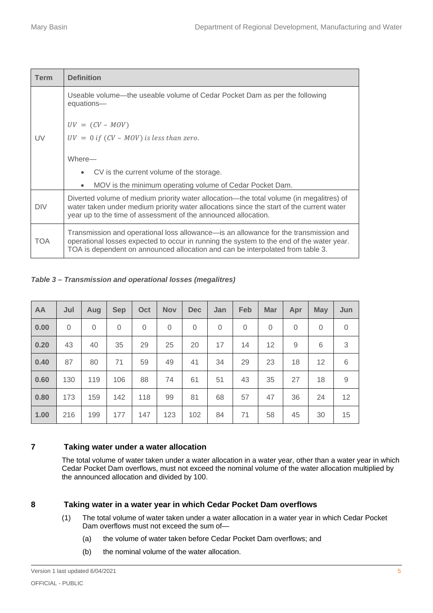| <b>Term</b> | <b>Definition</b>                                                                                                                                                                                                                                                  |
|-------------|--------------------------------------------------------------------------------------------------------------------------------------------------------------------------------------------------------------------------------------------------------------------|
|             | Useable volume—the useable volume of Cedar Pocket Dam as per the following<br>equations-                                                                                                                                                                           |
|             | $UV = (CV - MOV)$                                                                                                                                                                                                                                                  |
| UV          | $UV = 0$ if $(CV - MOV)$ is less than zero.                                                                                                                                                                                                                        |
|             | Where-                                                                                                                                                                                                                                                             |
|             | CV is the current volume of the storage.                                                                                                                                                                                                                           |
|             | MOV is the minimum operating volume of Cedar Pocket Dam.                                                                                                                                                                                                           |
| <b>DIV</b>  | Diverted volume of medium priority water allocation—the total volume (in megalitres) of<br>water taken under medium priority water allocations since the start of the current water<br>year up to the time of assessment of the announced allocation.              |
| <b>TOA</b>  | Transmission and operational loss allowance—is an allowance for the transmission and<br>operational losses expected to occur in running the system to the end of the water year.<br>TOA is dependent on announced allocation and can be interpolated from table 3. |

*Table 3 – Transmission and operational losses (megalitres)* 

| AA   | Jul         | Aug         | <b>Sep</b>     | Oct      | <b>Nov</b> | <b>Dec</b> | Jan         | Feb      | <b>Mar</b> | Apr      | <b>May</b>        | Jun            |
|------|-------------|-------------|----------------|----------|------------|------------|-------------|----------|------------|----------|-------------------|----------------|
| 0.00 | $\mathbf 0$ | $\mathbf 0$ | $\overline{0}$ | $\Omega$ | $\Omega$   | $\Omega$   | $\mathbf 0$ | $\Omega$ | $\Omega$   | $\Omega$ | 0                 | $\overline{0}$ |
| 0.20 | 43          | 40          | 35             | 29       | 25         | 20         | 17          | 14       | 12         | 9        | 6                 | 3              |
| 0.40 | 87          | 80          | 71             | 59       | 49         | 41         | 34          | 29       | 23         | 18       | $12 \overline{ }$ | 6              |
| 0.60 | 130         | 119         | 106            | 88       | 74         | 61         | 51          | 43       | 35         | 27       | 18                | 9              |
| 0.80 | 173         | 159         | 142            | 118      | 99         | 81         | 68          | 57       | 47         | 36       | 24                | 12             |
| 1.00 | 216         | 199         | 177            | 147      | 123        | 102        | 84          | 71       | 58         | 45       | 30                | 15             |

#### **7 Taking water under a water allocation**

The total volume of water taken under a water allocation in a water year, other than a water year in which Cedar Pocket Dam overflows, must not exceed the nominal volume of the water allocation multiplied by the announced allocation and divided by 100.

#### **8 Taking water in a water year in which Cedar Pocket Dam overflows**

- (1) The total volume of water taken under a water allocation in a water year in which Cedar Pocket Dam overflows must not exceed the sum of—
	- (a) the volume of water taken before Cedar Pocket Dam overflows; and
	- (b) the nominal volume of the water allocation.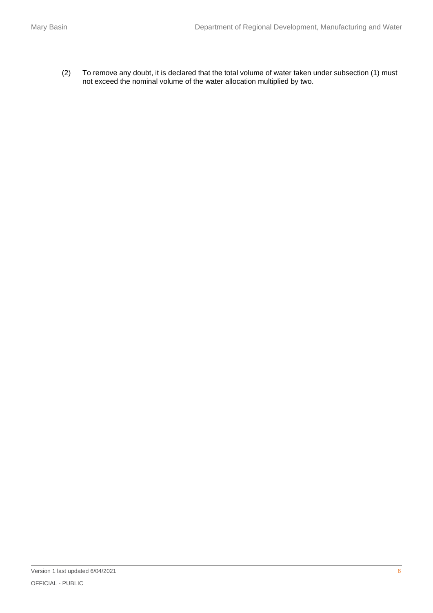(2) To remove any doubt, it is declared that the total volume of water taken under subsection (1) must not exceed the nominal volume of the water allocation multiplied by two.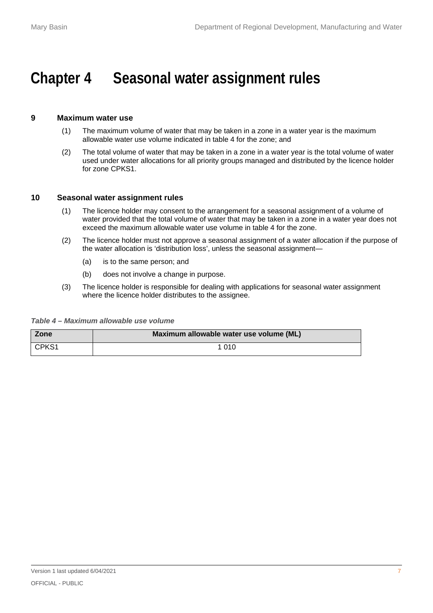### <span id="page-8-0"></span>**Chapter 4 Seasonal water assignment rules**

#### **9 Maximum water use**

- (1) The maximum volume of water that may be taken in a zone in a water year is the maximum allowable water use volume indicated in table 4 for the zone; and
- (2) The total volume of water that may be taken in a zone in a water year is the total volume of water used under water allocations for all priority groups managed and distributed by the licence holder for zone CPKS1.

#### **10 Seasonal water assignment rules**

- (1) The licence holder may consent to the arrangement for a seasonal assignment of a volume of water provided that the total volume of water that may be taken in a zone in a water year does not exceed the maximum allowable water use volume in table 4 for the zone.
- (2) The licence holder must not approve a seasonal assignment of a water allocation if the purpose of the water allocation is 'distribution loss', unless the seasonal assignment—
	- (a) is to the same person; and
	- (b) does not involve a change in purpose.
- (3) The licence holder is responsible for dealing with applications for seasonal water assignment where the licence holder distributes to the assignee.

*Table 4 – Maximum allowable use volume*

| Zone  | Maximum allowable water use volume (ML) |
|-------|-----------------------------------------|
| CPKS1 | 1 010                                   |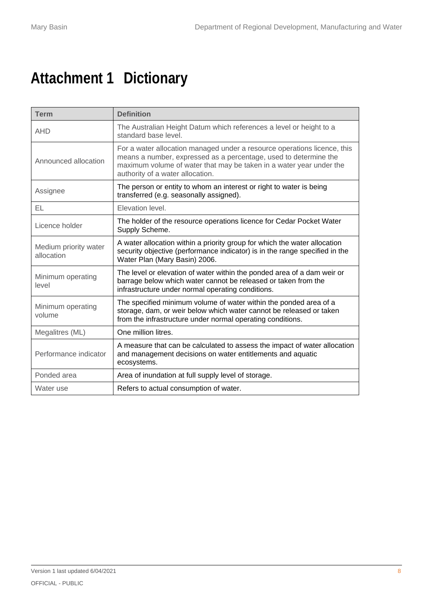# **Attachment 1 Dictionary**

| <b>Term</b>                         | <b>Definition</b>                                                                                                                                                                                                                                       |
|-------------------------------------|---------------------------------------------------------------------------------------------------------------------------------------------------------------------------------------------------------------------------------------------------------|
| <b>AHD</b>                          | The Australian Height Datum which references a level or height to a<br>standard base level.                                                                                                                                                             |
| Announced allocation                | For a water allocation managed under a resource operations licence, this<br>means a number, expressed as a percentage, used to determine the<br>maximum volume of water that may be taken in a water year under the<br>authority of a water allocation. |
| Assignee                            | The person or entity to whom an interest or right to water is being<br>transferred (e.g. seasonally assigned).                                                                                                                                          |
| EL                                  | Elevation level.                                                                                                                                                                                                                                        |
| Licence holder                      | The holder of the resource operations licence for Cedar Pocket Water<br>Supply Scheme.                                                                                                                                                                  |
| Medium priority water<br>allocation | A water allocation within a priority group for which the water allocation<br>security objective (performance indicator) is in the range specified in the<br>Water Plan (Mary Basin) 2006.                                                               |
| Minimum operating<br>level          | The level or elevation of water within the ponded area of a dam weir or<br>barrage below which water cannot be released or taken from the<br>infrastructure under normal operating conditions.                                                          |
| Minimum operating<br>volume         | The specified minimum volume of water within the ponded area of a<br>storage, dam, or weir below which water cannot be released or taken<br>from the infrastructure under normal operating conditions.                                                  |
| Megalitres (ML)                     | One million litres.                                                                                                                                                                                                                                     |
| Performance indicator               | A measure that can be calculated to assess the impact of water allocation<br>and management decisions on water entitlements and aquatic<br>ecosystems.                                                                                                  |
| Ponded area                         | Area of inundation at full supply level of storage.                                                                                                                                                                                                     |
| Water use                           | Refers to actual consumption of water.                                                                                                                                                                                                                  |